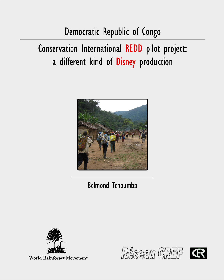# Democratic Republic of Congo

Conservation International REDD pilot project: a different kind of Disney production



**Belmond Tchoumba** 



**World Rainforest Movement** 

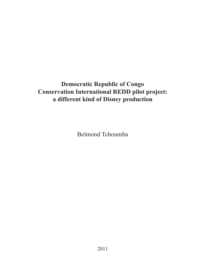# **Democratic Republic of Congo Conservation International REDD pilot project: a different kind of Disney production**

Belmond Tchoumba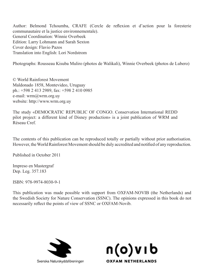Author: Belmond Tchoumba, CRAFE (Cercle de reflexion et d'action pour la foresterie communautaire et la justice environnementale). General Coordination: Winnie Overbeek Edition: Larry Lohmann and Sarah Sexton Cover design: Flavio Pazos Translation into English: Lori Nordstrom

Photographs: Rousseau Kisuba Muliro (photos de Walikali), Winnie Overbeek (photos de Lubero)

© World Rainforest Movement Maldonado 1858, Montevideo, Uruguay ph.: +598 2 413 2989, fax: +598 2 410 0985 e-mail: wrm@wrm.org.uy website: http://www.wrm.org.uy

The study «DEMOCRATIC REPUBLIC OF CONGO. Conservation International REDD pilot project: a different kind of Disney production» is a joint publication of WRM and Réseau Cref.

The contents of this publication can be reproduced totally or partially without prior authorisation. However, the World Rainforest Movement should be duly accredited and notified of any reproduction.

Published in October 2011

Impreso en Mastergraf Dep. Leg. 357.183

ISBN: 978-9974-8030-9-1

This publication was made possible with support from OXFAM-NOVIB (the Netherlands) and the Swedish Society for Nature Conservation (SSNC). The opinions expressed in this book do not necessarily reflect the points of view of SSNC or OXFAM-Novib.



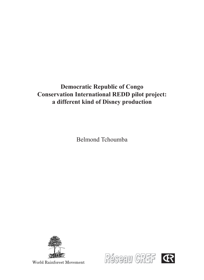# **Democratic Republic of Congo Conservation International REDD pilot project: a different kind of Disney production**

Belmond Tchoumba



World Rainforest Movement

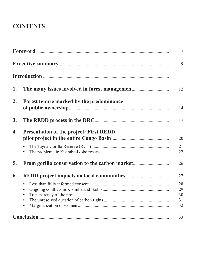# **CONTENTS**

|    |                                                | $\tau$                     |
|----|------------------------------------------------|----------------------------|
|    |                                                | 9                          |
|    |                                                | 11                         |
| 1. |                                                | 12                         |
| 2. | Forest tenure marked by the predominance       | 14                         |
| 3. |                                                | 17                         |
| 4. | <b>Presentation of the project: First REDD</b> | 20                         |
|    |                                                | 21<br>22                   |
| 5. | From gorilla conservation to the carbon market | 26                         |
| 6. |                                                | 27                         |
|    | $\bullet$                                      | 28<br>29<br>30<br>31<br>32 |
|    |                                                | 33                         |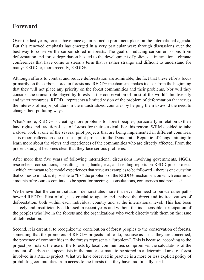### **Foreword**

Over the last years, forests have once again earned a prominent place on the international agenda. But this renewed emphasis has emerged in a very particular way: through discussions over the best way to conserve the carbon stored in forests. The goal of reducing carbon emissions from deforestation and forest degradation has led to the development of policies at international climate conferences that have come to stress a term that is rather strange and difficult to understand for many: REDD or, more recently, REDD+.

Although efforts to combat and reduce deforestation are admirable, the fact that these efforts focus primarily on the carbon stored in forests and REDD+ mechanisms makes it clear from the beginning that they will not place any priority on the forest communities and their problems. Nor will they consider the crucial role played by forests in the conservation of most of the world's biodiversity and water resources. REDD+ represents a limited vision of the problem of deforestation that serves the interests of major polluters in the industrialized countries by helping them to avoid the need to change their polluting ways.

What's more, REDD+ is creating more problems for forest peoples, particularly in relation to their land rights and traditional use of forests for their survival. For this reason, WRM decided to take a closer look at one of the several pilot projects that are being implemented in different countries. This report reflects on one of these pilot projects in the Democratic Republic of Congo, aiming to learn more about the views and experiences of the communities who are directly affected. From the present study, it becomes clear that they face serious problems.

After more than five years of following international discussions involving governments, NGOs, researchers, corporations, consulting firms, banks, etc., and reading reports on REDD pilot projects – which are meant to be model experiences that serve as examples to be followed – there is one question that comes to mind: is it possible to "fix" the problems of the REDD+ mechanism, on which enormous amounts of resources continue to be spent for meetings, consultations, conferences and projects?

We believe that the current situation demonstrates more than ever the need to pursue other paths beyond REDD+. First of all, it is crucial to update and analyze the direct and indirect causes of deforestation, both within each individual country and at the international level. This has been scarcely and insufficiently addressed in recent years and without the indispensable participation of the peoples who live in the forests and the organizations who work directly with them on the issue of deforestation.

Second, it is essential to recognize the contribution of forest peoples to the conservation of forests, something that the promoters of REDD+ projects fail to do, because as far as they are concerned, the presence of communities in the forests represents a "problem". This is because, according to the project promoters, the use of the forests by local communities compromises the calculations of the amount of carbon that specialists in the matter estimate to be stored in a determined area of forest involved in a REDD project. What we have observed in practice is a more or less explicit policy of prohibiting communities from access to the forests that they have traditionally used.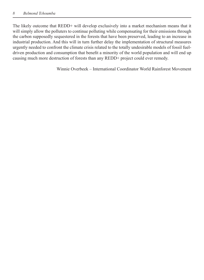The likely outcome that REDD+ will develop exclusively into a market mechanism means that it will simply allow the polluters to continue polluting while compensating for their emissions through the carbon supposedly sequestered in the forests that have been preserved, leading to an increase in industrial production. And this will in turn further delay the implementation of structural measures urgently needed to confront the climate crisis related to the totally undesirable models of fossil fueldriven production and consumption that benefit a minority of the world population and will end up causing much more destruction of forests than any REDD+ project could ever remedy.

Winnie Overbeek – International Coordinator World Rainforest Movement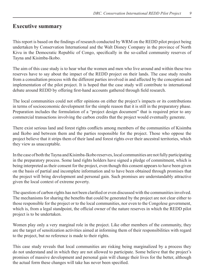### **Executive summary**

This report is based on the findings of research conducted by WRM on the REDD pilot project being undertaken by Conservation International and the Walt Disney Company in the province of North Kivu in the Democratic Republic of Congo, specifically in the so-called community reserves of Tayna and Kisimba-Ikobo.

The aim of this case study is to hear what the women and men who live around and within these two reserves have to say about the impact of the REDD project on their lands. The case study results from a consultation process with the different parties involved in and affected by the conception and implementation of the pilot project. It is hoped that the case study will contribute to international debate around REDD by offering first-hand accounts gathered through field research.

The local communities could not offer opinions on either the project's impacts or its contributions in terms of socioeconomic development for the simple reason that it is still in the preparatory phase. Preparation includes the formulation of a "project design document" that is required prior to any commercial transactions involving the carbon credits that the project would eventually generate.

There exist serious land and forest rights conflicts among members of the communities of Kisimba and Ikobo and between them and the parties responsible for the project. Those who oppose the project believe that it strips them of their land and forest rights over their ancestral territories, which they view as unacceptable.

In the case of both the Tayna and Kisimba-Ikobo reserves, local communities are not fully participating in the preparatory process. Some land rights holders have signed a pledge of commitment, which is being interpreted as their consent for the project, even though this consent appears to have been given on the basis of partial and incomplete information and to have been obtained through promises that the project will bring development and personal gain. Such promises are understandably attractive given the local context of extreme poverty.

The question of carbon rights has not been clarified or even discussed with the communities involved. The mechanisms for sharing the benefits that could be generated by the project are not clear either to those responsible for the project or to the local communities, nor even to the Congolese government, which is, from a legal standpoint, the official owner of the nature reserves in which the REDD pilot project is to be undertaken.

Women play only a very marginal role in the project. Like other members of the community, they are the target of sensitization activities aimed at informing them of their responsibilities with regard to the project, but no reference is made to their rights.

This case study reveals that local communities are risking being marginalized by a process they do not understand and in which they are not allowed to participate. Some believe that the project's promises of massive development and personal gain will change their lives for the better, although the actual form these changes will take has never been specified.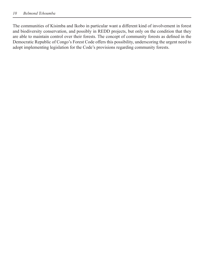The communities of Kisimba and Ikobo in particular want a different kind of involvement in forest and biodiversity conservation, and possibly in REDD projects, but only on the condition that they are able to maintain control over their forests. The concept of community forests as defined in the Democratic Republic of Congo's Forest Code offers this possibility, underscoring the urgent need to adopt implementing legislation for the Code's provisions regarding community forests.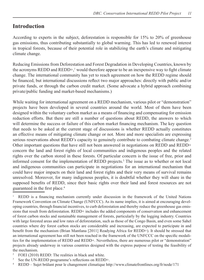# **Introduction**

According to experts in the subject, deforestation is responsible for 15% to 20% of greenhouse gas emissions, thus contributing substantially to global warming. This has led to renewed interest in tropical forests, because of their potential role in stabilizing the earth's climate and mitigating climate change.

Reducing Emissions from Deforestation and Forest Degradation in Developing Countries, known by the acronyms REDD and REDD+, $\frac{1}{2}$  would therefore appear to be an inexpensive way to fight climate change. The international community has yet to reach agreement on how the REDD regime should be financed, but international discussions reflect two major approaches: directly with public and/or private funds, or through the carbon credit market. (Some advocate a hybrid approach combining private/public funding and market-based mechanisms.)

While waiting for international agreement on a REDD mechanism, various pilot or "demonstration" projects have been developed in several countries around the world. Most of them have been designed within the voluntary carbon market as a means of financing and compensating for emission reduction efforts. But there are still a number of questions about REDD, the answers to which will determine the success or failure of this carbon market financing mechanism. The key question that needs to be asked at the current stage of discussions is whether REDD actually constitutes an effective means of mitigating climate change or not. More and more specialists are expressing serious reservations about REDD's capacity to genuinely contribute to combating climate change.<sup>2</sup> Other important questions that have still not been answered in negotiations on REDD and REDD+ concern the land and forest rights of local communities and indigenous peoples and the related rights over the carbon stored in these forests. Of particular concern is the issue of free, prior and informed consent for the implementation of REDD projects.3 The issue as to whether or not local and indigenous communities can participate in negotiations for an international mechanism that could have major impacts on their land and forest rights and their very means of survival remains unresolved. Moreover, for many indigenous peoples, it is doubtful whether they will share in the supposed benefits of REDD, since their basic rights over their land and forest resources are not guaranteed in the first place.<sup>4</sup>

1 REDD is a financing mechanism currently under discussion in the framework of the United Nations Framework Convention on Climate Change (UNFCCC). As its name implies, it is aimed at encouraging developing countries, through financial incentives, to curb deforestation and thereby reduce the greenhouse gas emissions that result from deforestation. REDD+ includes the added components of conservation and enhancement of forest carbon stocks and sustainable management of forests, particularly by the logging industry. Countries with large forested areas and low rates of deforestation, such as those of the Congo Basin, and even some Sahel countries where dry forest carbon stocks are considerable and increasing, are expected to participate in and benefit from the mechanism (Brian Mantlana [2011] Readying Africa for REDD+). It should be stressed that an international agreement has still not been reached in the framework of the UNFCCC on the specific modalities for the implementation of REDD and REDD+. Nevertheless, there are numerous pilot or "demonstration" projects already underway in various countries designed with the express purpose of testing the feasibility of the mechanism.

- 2 FOEI (2010) REDD: The realities in black and white.
- 3 See the UN-REDD programme's reflections on REDD+.
- 4 REDD – Sujet brûlant pour le changement climatique http://www.climatefrontlines.org/fr/node/171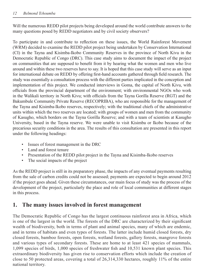Will the numerous REDD pilot projects being developed around the world contribute answers to the many questions posed by REDD negotiators and by civil society observers?

To participate in and contribute to reflection on these issues, the World Rainforest Movement (WRM) decided to examine the REDD pilot project being undertaken by Conservation International (CI) in the Tayna and Kisimba-Ikobo Community Reserves in the province of North Kivu in the Democratic Republic of Congo (DRC). This case study aims to document the impact of the project on communities that are supposed to benefit from it by hearing what the women and men who live around and within these two reserves have to say. It is hoped that this case study will serve as an input for international debate on REDD by offering first-hand accounts gathered through field research. The study was essentially a consultation process with the different parties implicated in the conception and implementation of this project. We conducted interviews in Goma, the capital of North Kivu, with officials from the provincial department of the environment; with environmental NGOs who work in the Walikali territory in North Kivu; with officials from the Tayna Gorilla Reserve (RGT) and the Bakumbule Community Private Reserve (RECOPRIBA), who are responsible for the management of the Tayna and Kisimba-Ikobo reserves, respectively; with the traditional chiefs of the administrative units within which the two reserves are located; with groups of women and men from the community of Kasugho, which borders on the Tayna Gorilla Reserve; and with a team of scientists at Kasugho University, based in the Tayna reserve. We were unable to visit Kisimba or Ikobo because of the precarious security conditions in the area. The results of this consultation are presented in this report under the following headings:

- Issues of forest management in the DRC
- Land and forest tenure
- Presentation of the REDD pilot project in the Tayna and Kisimba-Ikobo reserves
- The social impacts of the project

As the REDD project is still in its preparatory phase, the impacts of any eventual payments resulting from the sale of carbon credits could not be assessed; payments are expected to begin around 2012 if the project goes ahead. Given these circumstances, our main focus of study was the process of the development of the project, particularly the place and role of local communities at different stages in this process.

# **1. The many issues involved in forest management**

The Democratic Republic of Congo has the largest continuous rainforest area in Africa, which is one of the largest in the world. The forests of the DRC are characterized by their significant wealth of biodiversity, both in terms of plant and animal species, many of which are endemic, and in terms of habitats and even types of forests. The latter include humid closed forests, dry closed forests, bamboo forests, open forests, wetland forests, gallery forests, mangrove forests and various types of secondary forests. These are home to at least 421 species of mammals, 1,099 species of birds, 1,000 species of freshwater fish and 10,531 known plant species. This extraordinary biodiversity has given rise to conservation efforts which include the creation of close to 50 protected areas, covering a total of 26,314,330 hectares, roughly 11% of the entire national territory.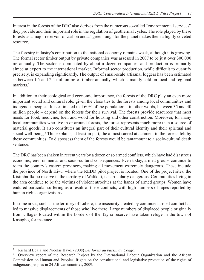Interest in the forests of the DRC also derives from the numerous so-called "environmental services" they provide and their important role in the regulation of geothermal cycles. The role played by these forests as a major reservoir of carbon and a "green lung" for the planet makes them a highly coveted resource.

The forestry industry's contribution to the national economy remains weak, although it is growing. The formal sector timber output by private companies was assessed in 2007 to be just over 300,000 m<sup>3</sup> annually. The sector is dominated by about a dozen companies, and production is primarily aimed at export to the international market. Informal sector production, while difficult to quantify precisely, is expanding significantly. The output of small-scale artisanal loggers has been estimated as between  $1.5$  and  $2.4$  million  $m<sup>3</sup>$  of timber annually, which is mainly sold on local and regional markets.<sup>5</sup>

In addition to their ecological and economic importance, the forests of the DRC play an even more important social and cultural role, given the close ties to the forests among local communities and indigenous peoples. It is estimated that 60% of the population – in other words, between 35 and 40 million people – depend on the forests for their survival. The forests provide resources that meet needs for food, medicine, fuel, and wood for housing and other construction. Moreover, for many local communities who live in or around forests, the forest represents much more than a source of material goods. It also constitutes an integral part of their cultural identity and their spiritual and social well-being.<sup>6</sup> This explains, at least in part, the almost sacred attachment to the forests felt by these communities. To dispossess them of the forests would be tantamount to a socio-cultural death sentence.

The DRC has been shaken in recent years by a dozen or so armed conflicts, which have had disastrous economic, environmental and socio-cultural consequences. Even today, armed groups continue to roam the country's eastern provinces, making all movement extremely dangerous. These include the province of North Kivu, where the REDD pilot project is located. One of the project sites, the Kisimba-Ikobo reserve in the territory of Walikali, is particularly dangerous. Communities living in the area continue to be the victims of violent atrocities at the hands of armed groups. Women have endured particular suffering as a result of these conflicts, with high numbers of rapes reported by human rights organizations.

In some areas, such as the territory of Lubero, the insecurity created by continued armed conflict has led to massive displacements of those who live there. Large numbers of displaced people originally from villages located within the borders of the Tayna reserve have taken refuge in the town of Kasugho, for instance.

<sup>5</sup> Richard Eba'a and Nicolas Bayol (2008) Les forêts du bassin du Congo.

<sup>6</sup> Overview report of the Research Project by the International Labour Organization and the African Commission on Human and Peoples' Rights on the constitutional and legislative protection of the rights of indigenous peoples in 24 African countries, 2009.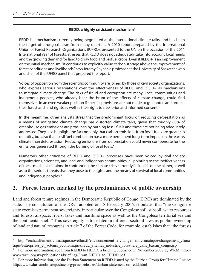#### **REDD, a highly criticized mechanism7**

REDD is a mechanism currently being negotiated at the international climate talks, and has been the target of strong criticism from many quarters. A 2010 report prepared by the International Union of Forest Research Organizations (IUFRO), presented to the UN on the occasion of the 2011 International Year of Forests, stresses that REDD does not adequately take into account local needs and the growing demand for land to grow food and biofuel crops. Even if REDD+ is an improvement on the initial mechanism, "it continues to explicitly value carbon storage above the improvement of forest conditions and livelihoods," says Jeremy Rayner, a professor at the University of Saskatchewan and chair of the IUFRO panel that prepared the report.

Voices of opposition from the scientific community are joined by those of civil society organizations, who express serious reservations over the effectiveness of REDD and REDD+ as mechanisms to mitigate climate change. The risks of fraud and corruption are many. Local communities and indigenous peoples, who already bear the brunt of the effects of climate change, could find themselves in an even weaker position if specific provisions are not made to guarantee and protect their forest and land rights as well as their right to free, prior and informed consent.

In the meantime, other analysts stress that the predominant focus on reducing deforestation as a means of mitigating climate change has distorted climate talks, given that roughly 80% of greenhouse gas emissions are produced by burning fossil fuels and these are not being adequately addressed. They also highlight the fact not only that carbon emissions from fossil fuels are greater in quantity, but also that fossil fuel combustion has a more permanent long-term impact on the earth's climate than deforestation. Reducing emissions from deforestation could never compensate for the emissions generated through the burning of fossil fuels.<sup>8</sup>

Numerous other criticisms of REDD and REDD+ processes have been voiced by civil society organizations, scientists, and local and indigenous communities, all pointing to the ineffectiveness of these mechanisms alone in confronting the climate crisis currently facing life on the planet, as well as to the serious threats that they pose to the rights and the means of survival of local communities and indigenous peoples.<sup>9</sup>

# **2. F orest tenure marked by the predominance of public ownership**

Land and forest tenure regimes in the Democratic Republic of Congo (DRC) are dominated by the state. The constitution of the DRC, adopted on 18 February 2006, stipulates that "the Congolese state exercises permanent sovereignty, in particular over the Congolese soil, subsoil, water resources and forests, airspace, rivers, lakes and maritime space as well as the Congolese territorial sea and the continental shelf." This sovereignty is translated in different sectoral laws as public ownership of land and natural resources. Article 7 of the Forest Code, for example, establishes that "the forests

<sup>7</sup> http://rechauffement-climatique.novethic.fr/environnement-le-changement-climatique/changement\_climatique/entreprises et acteurs economiques/redd attentes industrie forestiere dans bassin congo.jsp

<sup>8</sup> For more information, see From REDD to HEDD, a briefing published in November 2008 by WRM: http:// www.wrm.org.uy/publications/briefings/From\_REDD\_to\_HEDD.pdf

<sup>9</sup> For more information, see the Durban Statement on REDD issued by the Durban Group for Climate Justice: http://www.durbanclimatejustice.org/press-releases/durban-statement-on-redd.html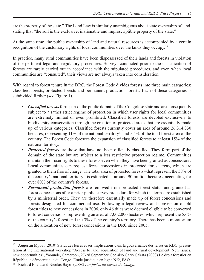are the property of the state." The Land Law is similarly unambiguous about state ownership of land, stating that "the soil is the exclusive, inalienable and imprescriptible property of the state."

At the same time, the public ownership of land and natural resources is accompanied by a certain recognition of the customary rights of local communities over the lands they occupy.10

In practice, many rural communities have been dispossessed of their lands and forests in violation of the pertinent legal and regulatory procedures. Surveys conducted prior to the classification of forests are rarely carried out in accordance with the stipulated procedures, and even when local communities are "consulted", their views are not always taken into consideration.

With regard to forest tenure in the DRC, the Forest Code divides forests into three main categories: classified forests, protected forests and permanent production forests. Each of these categories is subdivided further (*see* Figure 1).

- Classified forests form part of the public domain of the Congolese state and are consequently subject to a rather strict regime of protection in which user rights for local communities are extremely limited or even prohibited. Classified forests are devoted exclusively to biodiversity conservation through the creation of protected areas that are essentially made up of various categories. Classified forests currently cover an area of around  $26,314,330$ hectares, representing 11% of the national territory<sup>11</sup> and 5.5% of the total forest area of the country. The Forest Code foresees the expansion of classified forests to at least 15% of the national territory.
- *Protected forests* are those that have not been officially classified. They form part of the domain of the state but are subject to a less restrictive protection regime. Communities maintain their user rights to these forests even when they have been granted as concessions. Local communities can request forest concessions in protected forest areas, which are granted to them free of charge. The total area of protected forests –that represent the 38% of the country's national territory– is estimated at around 90 million hectares, accounting for over 80% of the country's forests.
- *Permanent production forests* are removed from protected forest status and granted as forest concessions after a prior public survey procedure for which the terms are established by a ministerial order. They are therefore essentially made up of forest concessions and forests designated for commercial use. Following a legal review and conversion of old forest titles to new concessions in 2006, only 46 titles were deemed eligible to be converted to forest concessions, representing an area of 7,002,000 hectares, which represent the 5.6% of the country's forest and the 3% of the country's territory. There has been a moratorium on the allocation of new forest concessions in the DRC since 2005.

<sup>&</sup>lt;sup>10</sup> Augustin Mpoyi (2010) Statut des terres et ses implications dans la gouvernance des terres en RDC, presentation at the international workshop "Access to land, acquisition of land and rural development: New issues, new opportunities", Yaoundé, Cameroon, 27-28 September. See also Garry Sakata (2008) Le droit forestier en République démocratique du Congo. Etude juridique en ligne N°2, FAO.

<sup>&</sup>lt;sup>11</sup> Richard Eba'a and Nicolas Bayol (2008) *Les forêts du bassin du Congo*.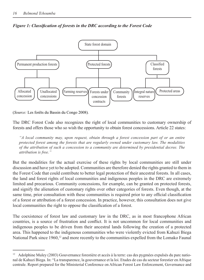

*Figure 1: Classification of forests in the DRC according to the Forest Code* 

(*Source*: Les forêts du Bassin du Congo 2008).

The DRC Forest Code also recognizes the right of local communities to customary ownership of forests and offers those who so wish the opportunity to obtain forest concessions. Article 22 states:

*A* local community may, upon request, obtain through a forest concession part of or an entire protected forest among the forests that are regularly owned under customary law. The modalities *of the attribution of such a concession to a community are determined by presidential decree. The cattribution is free.*"

But the modalities for the actual exercise of these rights by local communities are still under discussion and have yet to be adopted. Communities are therefore denied the rights granted to them in the Forest Code that could contribute to better legal protection of their ancestral forests. In all cases, the land and forest rights of local communities and indigenous peoples in the DRC are extremely limited and precarious. Community concessions, for example, can be granted on protected forests, and signify the alienation of customary rights over other categories of forests. Even though, at the same time, prior consultation with these communities is required prior to any official classification of a forest or attribution of a forest concession. In practice, however, this consultation does not give local communities the right to oppose the classification of a forest.

The coexistence of forest law and customary law in the DRC, as in most francophone African countries, is a source of frustration and conflict. It is not uncommon for local communities and indigenous peoples to be driven from their ancestral lands following the creation of a protected area. This happened to the indigenous communities who were violently evicted from Kahuzi Biega National Park since 1960,<sup>12</sup> and more recently to the communities expelled from the Lomako Faunal

<sup>12</sup> Adolphine Muley (2003) Gouvernance forestière et accès à la terre: cas des pygmées expulsés du parc national de Kahuzi Biega. In: "La transparence, la gouvernance et la loi. Etudes de cas du secteur forestier en Afrique centrale. Report prepared for the Ministerial Conference on African Forest Law Enforcement, Governance and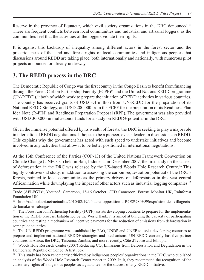Reserve in the province of Equateur, which civil society organizations in the DRC denounced.<sup>13</sup> There are frequent conflicts between local communities and industrial and artisanal loggers, as the communities feel that the activities of the loggers violate their rights.

It is against this backdrop of inequality among different actors in the forest sector and the precariousness of the land and forest rights of local communities and indigenous peoples that discussions around REDD are taking place, both internationally and nationally, with numerous pilot projects announced or already underway.

# **3. The REDD process in the DRC**

The Democratic Republic of Congo was the first country in the Congo Basin to benefit from financing through the Forest Carbon Partnership Facility (FCPF)<sup>14</sup> and the United Nations REDD programme (UN-REDD),15 both of which work to prepare the initiation of REDD activities in various countries. The country has received grants of USD 3.4 million from UN-REDD for the preparation of its National REDD Strategy, and USD 200,000 from the FCPF for the preparation of its Readiness Plan Idea Note (R-PIN) and Readiness Preparation Proposal (RPP). The government was also provided with USD 300,000 in multi-donor funds for a study on REDD+ potential in the DRC.

Given the immense potential offered by its wealth of forests, the DRC is seeking to play a major role in international REDD negotiations. It hopes to be a pioneer, even a leader, in discussions on REDD. This explains why the government has acted with such speed to undertake initiatives and become involved in any activities that allow it to be better positioned in international negotiations.

At the 13th Conference of the Parties (COP-13) of the United Nations Framework Convention on Climate Change (UNFCCC) held in Bali, Indonesia in December 2007, the first study on the causes of deforestation in the DRC was released by the US-based Woods Hole Research Centre.16 This highly controversial study, in addition to assessing the carbon sequestration potential of the DRC's forests, pointed to local communities as the primary drivers of deforestation in this vast central African nation while downplaying the impact of other actors such as industrial logging companies.<sup>17</sup>

13 http://radiookapi.net/actualite/2010/02/19/tshuapa-opposition-a-l%E2%80%99expulsion-des-villageoisde-lomako-et-salonga/

14 The Forest Carbon Partnership Facility (FCPF) assists developing countries to prepare for the implementation of the REDD process. Established by the World Bank, it is aimed at building the capacity of participating countries and testing a mechanism of incentive payments for the reduction of emissions from deforestation in some pilot countries**.**

<sup>15</sup> The UN-REDD programme was established by FAO, UNDP and UNEP to assist developing countries to prepare and implement national REDD+ strategies and mechanisms. UN-REDD currently has five partner countries in Africa: the DRC, Tanzania, Zambia, and more recently, Côte d'Ivoire and Ethiopia.

<sup>16</sup> Woods Hole Research Center (2007) Reducing  $CO_2$  Emissions from Deforestation and Degradation in the Democratic Republic of Congo: A first look.

<sup>17</sup> This study has been vehemently criticized by indigenous peoples' organizations in the DRC, who published an analysis of the Woods Hole Research Center report in 2009. In it, they recommend the recognition of the customary rights of indigenous peoples as a guarantee for the success of any REDD initiative.

Trade (AFLEGT)", Yaoundé, Cameroon, 13-16 October. CED Cameroon, Forests Monitor UK, Rainforest Foundation UK.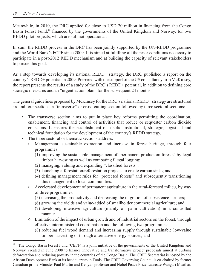Meanwhile, in 2010, the DRC applied for close to USD 20 million in financing from the Congo Basin Forest Fund,<sup>18</sup> financed by the governments of the United Kingdom and Norway, for two REDD pilot projects, which are still not operational.

In sum, the REDD process in the DRC has been jointly supported by the UN-REDD programme and the World Bank's FCPF since 2009. It is aimed at fulfilling all the prior conditions necessary to participate in a post-2012 REDD mechanism and at building the capacity of relevant stakeholders to pursue this goal.

As a step towards developing its national REDD+ strategy, the DRC published a report on the country's REDD+ potential in 2009. Prepared with the support of the US consultancy firm McKinsey, the report presents the results of a study of the DRC's REDD+ potential, in addition to defining core strategic measures and an "urgent action plan" for the subsequent 24 months.

The general guidelines proposed by McKinsey for the DRC's national REDD+ strategy are structured around four sections: a "transverse" or cross-cutting section followed by three sectoral sections:

- The transverse section aims to put in place key reforms permitting the coordination, enablement, financing and control of activities that reduce or sequester carbon dioxide emissions. It ensures the establishment of a solid institutional, strategic, logistical and technical foundation for the development of the country's REDD strategy.
- The three sectoral or thematic sections address:
	- Management, sustainable extraction and increase in forest heritage, through four programmes:
		- (1) improving the sustainable management of "permanent production forests" by legal timber harvesting as well as combating illegal logging;
		- (2) managing, valuing and expanding "classified forests";
		- (3) launching afforestation/reforestation projects to create carbon sinks; and
		- (4) defining management rules for "protected forests" and subsequently transitioning this management to local communities.
	- Accelerated development of permanent agriculture in the rural-forested milieu, by way of three programmes:
		- (5) increasing the productivity and decreasing the migration of subsistence farmers;
		- (6) growing the yields and value-added of smallholder commercial agriculture; and
		- (7) developing intensive agriculture (mainly oil palm cultivation) in a controlled manner.
	- Limitation of the impact of urban growth and of industrial sectors on the forest, through effective interministerial coordination and the following two programmes:
		- (8) reducing fuel wood demand and increasing supply through sustainable low-value timber harvesting or through alternative energy sources; and

<sup>&</sup>lt;sup>18</sup> The Congo Basin Forest Fund (CBFF) is a joint initiative of the governments of the United Kingdom and Norway, created in June 2008 to finance innovative and transformative project proposals aimed at curbing deforestation and reducing poverty in the countries of the Congo Basin. The CBFF Secretariat is hosted by the African Development Bank at its headquarters in Tunis. The CBFF Governing Council is co-chaired by former Canadian prime Minister Paul Martin and Kenyan professor and Nobel Peace Prize Laureate Wangari Maathai.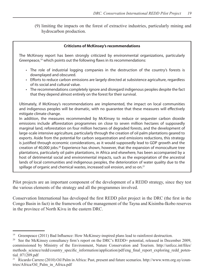(9) limiting the impacts on the forest of extractive industries, particularly mining and hydrocarbon production.

#### **Criticisms of McKinsey's recommendations**

The McKinsey report has been strongly criticized by environmental organizations, particularly Greenpeace,<sup>19</sup> which points out the following flaws in its recommendations:

- The role of industrial logging companies in the destruction of the country's forests is downplayed and obscured.
- Efforts to reduce carbon emissions are largely directed at subsistence agriculture, regardless of its social and cultural value.
- The recommendations completely ignore and disregard indigenous peoples despite the fact that they depend almost entirely on the forest for their survival.

Ultimately, if McKinsey's recommendations are implemented, the impact on local communities and indigenous peoples will be dramatic, with no quarantee that these measures will effectively mitigate climate change.

In addition, the measures recommended by McKinsey to reduce or sequester carbon dioxide emissions include afforestation programmes on close to seven million hectares of supposedly marginal land, reforestation on four million hectares of degraded forests, and the development of large-scale intensive agriculture, particularly through the creation of oil palm plantations geared to exports. Aside from the potential for carbon sequestration and emissions reductions, this strategy is justified through economic considerations, as it would supposedly lead to GDP growth and the creation of 40,000 jobs.20 Experience has shown, however, that the expansion of monoculture tree plantations, particularly oil palm plantations, in Africa and elsewhere, has been accompanied by a host of detrimental social and environmental impacts, such as the expropriation of the ancestral lands of local communities and indigenous peoples, the deterioration of water quality due to the spillage of organic and chemical wastes, increased soil erosion, and so on.<sup>21</sup>

Pilot projects are an important component of the development of a REDD strategy, since they test the various elements of the strategy and all the programmes involved.

Conservation International has developed the first REDD pilot project in the DRC (the first in the Congo Basin in fact) in the framework of the management of the Tayna and Kisimba-Ikobo reserves in the province of North Kivu in the eastern DRC.

<sup>&</sup>lt;sup>19</sup> Greenpeace (2011) Bad Influence: How McKinsey-inspired plans lead to rainforest destruction.

See the McKinsey consultancy firm's report on the DRC's REDD+ potential, released in December 2009, commissioned by Ministry of the Environment, Nature Conservation and Tourism. http://unfccc.int/files/ methods\_science/redd/country\_specific\_information/application/pdf/eng\_final\_report\_exploring\_redd\_potential\_071209.pdf

<sup>21</sup> Ricardo Carrere (2010) Oil Palm in Africa: Past, present and future scenarios. http://www.wrm.org.uy/countries/Africa/Oil\_Palm\_in\_Africa.pdf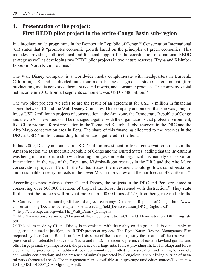# **4.** Presentation of the project:  **First REDD pilot project in the entire Congo Basin sub-region**

In a brochure on its programme in the Democratic Republic of Congo,<sup>22</sup> Conservation International (CI) states that it "promotes economic growth based on the principles of green economies. This includes providing both technical and financial support for the coordination of a national REDD strategy as well as developing two REDD pilot projects in two nature reserves (Tayna and Kisimba-Ikobo) in North Kivu province."

The Walt Disney Company is a worldwide media conglomerate with headquarters in Burbank, California, US, and is divided into four main business segments: studio entertainment (film production), media networks, theme parks and resorts, and consumer products. The company's total net income in 2010, from all segments combined, was USD 7.586 billion.<sup>23</sup>

The two pilot projects we refer to are the result of an agreement for USD 7 million in financing signed between CI and the Walt Disney Company. This company announced that she was going to invest USD 7 million in projects of conservation at the Amazone, the Democratic Republic of Congo and the USA. These funds will be managed together with the organizations that protect environment, like CI, to promote forest protection in the Tayna and Kisimba-Ikobo reserves in the DRC and the Alto Mayo conservation area in Peru. The share of this financing allocated to the reserves in the DRC is USD 4 million, according to information gathered in the field.

In late 2009, Disney announced a USD 7 million investment in forest conservation projects in the Amazon region, the Democratic Republic of Congo and the United States, adding that the investment was being made in partnership with leading non-governmental organizations, namely Conservation International in the case of the Tayna and Kisimba-Ikobo reserves in the DRC and the Alto Mayo conservation project in Peru. In the United States, the investment would go towards reforestation and sustainable forestry projects in the lower Mississippi valley and the north coast of California.24

According to press releases from CI and Disney, the projects in the DRC and Peru are aimed at conserving over 500,000 hectares of tropical rainforest threatened with destruction.<sup>25</sup> They state further that the projects will prevent more than  $900,000$  tons of  $CO<sub>2</sub>$  from being released into the

22 Conservation International (n/d) Toward a green economy: Democratic Republic of Congo. http://www. conservation.org/Documents/field\_demonstrations/CI\_Field\_Demonstration\_DRC\_English.pdf

<sup>23</sup> http://en.wikipedia.org/wiki/The Walt Disney Company

<sup>&</sup>lt;sup>24</sup> http://www.conservation.org/Documents/field demonstrations/CI Field Demonstration DRC English. pdf

<sup>25</sup> This claim made by CI and Disney is inconsistent with the reality on the ground. It is quite simply an exaggeration aimed at justifying the REDD project at any cost. The Tayna Nature Reserve Management Plan prepared by Juan Carlos Bonilla in 2008 lists some of the factors to justify the creation of the reserve: the presence of considerable biodiversity (fauna and flora); the endemic presence of eastern lowland gorillas and other large primates (chimpanzees); the presence of a large intact forest providing shelter for okapi and forest elephants; the presence of a traditional local community committed to conservation and willing to promote community conservation; and the presence of animals protected by Congolese law but living outside of natural parks (protected areas). The management plan is available at: http://carpe.umd.edu/resources/Documents/ LS10\_MZ10010007\_CATMgtPln\_08.pdf.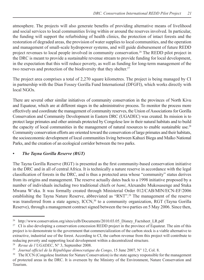atmosphere. The projects will also generate benefits of providing alternative means of livelihood and social services to local communities living within or around the reserves involved. In particular, the funding will support the refurbishing of health clinics, the protection of intact forests and the restoration of degraded areas, the provision of water supplies to local communities, and the operation and management of small-scale hydropower systems, and will guide disbursement of future REDD project revenues to local people involved in community conservation.26 The REDD pilot project in the DRC is meant to provide a sustainable revenue stream to provide funding for local development, in the expectation that this will reduce poverty, as well as funding for long-term management of the two reserves and protection of the biodiversity that they shelter.<sup>27</sup>

The project area comprises a total of 2,270 square kilometres. The project is being managed by CI in partnership with the Dian Fossey Gorilla Fund International (DFGFI), which works directly with local NGOs.

There are several other similar initiatives of community conservation in the provinces of North Kivu and Equateur, which are at different stages in the administrative process. To monitor the process more effectively and coordinate the management of community reserves, the Union of Associations for Gorilla Conservation and Community Development in Eastern DRC (UGADEC) was created. Its mission is to protect large primates and other animals protected by Congolese law in their natural habitats and to build the capacity of local communities in the management of natural resources to enable sustainable use.<sup>28</sup> Community conservation efforts are oriented toward the conservation of large primates and their habitats, the socioeconomic development of local communities living between Kahuzi Biega and Maïko National Parks, and the creation of an ecological corridor between the two parks.

#### *• The Tayna Gorilla Reserve (RGT)*

The Tayna Gorilla Reserve (RGT) is presented as the first community-based conservation initiative in the DRC and in all of central Africa. It is technically a nature reserve in accordance with the legal classifi cation of forests in the DRC, and is thus a protected area whose "community" status derives from its origins and management. The reserve actually dates back to a 1998 initiative proposed by a number of individuals including two traditional chiefs or *bami*, Alexandre Mukosasenge and Stuka Mwana W'eka. It was formally created through Ministerial Order 012/CAB/MIN/ECN-EF/2006 establishing the Tayna Nature Reserve, abbreviated as "RNT".<sup>29</sup> The management of the reserve was transferred from a state agency, ICCN,<sup>30</sup> to a community organization, RGT (Tayna Gorilla Reserve), through a management contract signed between the two parties on 5 May 2006. Since then,

<sup>&</sup>lt;sup>26</sup> http://www.conservation.org/sites/celb/Documents/2010.03.05 Disney Factsheet LR.pdf

<sup>&</sup>lt;sup>27</sup> CI is also developing a conservation concession REDD project in the province of Equateur. The aim of this project is to demonstrate to the government that commercialization of the carbon stock is a viable alternative to extractive, industrial use of the forest. According to CI, the carbon revenue from this project will contribute to reducing poverty and supporting local development within a decentralized structure.

<sup>&</sup>lt;sup>28</sup> *Revue de l'UGADEC*, N° 3, September 2008.

<sup>&</sup>lt;sup>29</sup> Journal officiel de la République démocratique du Congo, 15 June 2007, N° 12, Col. 8.

The ICCN (Congolese Institute for Nature Conservation) is the state agency responsible for the management of protected areas in the DRC. It is overseen by the Ministry of the Environment, Nature Conservation and Tourism.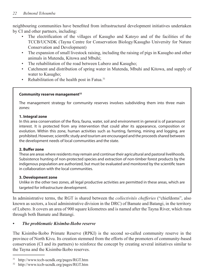neighbouring communities have benefited from infrastructural development initiatives undertaken by CI and other partners, including:

- The electrification of the villages of Kasugho and Katoyo and of the facilities of the TCCB/UCNDK (Tayna Centre for Conservation Biology/Kasugho University for Nature Conservation and Development)
- The expansion of small livestock raising, including the raising of pigs in Kasugho and other animals in Mutenda, Kitowa and Mbuhi;
- The rehabilitation of the road between Lubero and Kasugho;
- Catchment and distribution of spring water in Mutenda, Mbuhi and Kitowa, and supply of water to Kasugho;
- Rehabilitation of the health post in Fatua. $31$

#### **Community reserve management32**

The management strategy for community reserves involves subdividing them into three main zones:

#### **1. Integral zone**

In this area conservation of the flora, fauna, water, soil and environment in general is of paramount interest. It is protected from any intervention that could alter its appearance, composition or evolution. Within this zone, human activities such as hunting, farming, mining and logging, are prohibited. However, scientific study and tourism are encouraged and the proceeds shared between the development needs of local communities and the state.

#### **2. Buffer zone**

These are areas where residents may remain and continue their agricultural and pastoral livelihoods. Subsistence hunting of non-protected species and extraction of non-timber forest products by the indigenous population are authorized, but must be evaluated and monitored by the scientific team in collaboration with the local communities.

#### **3. Development zone**

Unlike in the other two zones, all legal productive activities are permitted in these areas, which are targeted for infrastructure development.

In administrative terms, the RGT is shared between the *collectivités chefferies* ("chiefdoms", also known as sectors, a local administrative division in the DRC) of Bamate and Batangi, in the territory of Lubero. It covers an area of 900 square kilometres and is named after the Tayna River, which runs through both Bamate and Batangi.

#### *The problematic Kisimba-Ikobo reserve*

The Kisimba-Ikobo Primate Reserve (RPKI) is the second so-called community reserve in the province of North Kivu. Its creation stemmed from the efforts of the promoters of community-based conservation (CI and its partners) to reinforce the concept by creating several initiatives similar to the Tayna and the Kisimba-Ikobo reserves.

<sup>31</sup> http://www.tccb-ucndk.org/pages/RGT.htm

<sup>32</sup> http://www.tccb-ucndk.org/pages/RGT.htm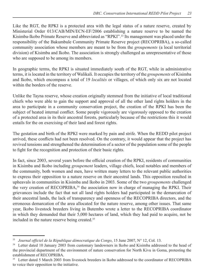Like the RGT, the RPKI is a protected area with the legal status of a nature reserve, created by Ministerial Order 013/CAB/MIN/ECN-EF/2006 establishing a nature reserve to be named the Kisimba-Ikobo Primate Reserve and abbreviated as "RPKI".33 Its management was placed under the responsibility of the Bakumbule Community Primate Reserve project (RECOPRIBA), a so-called community association whose members are meant to be from the *groupements* (a local territorial division) of Kisimba and Ikobo. The association is strongly challenged as unrepresentative of those who are supposed to be among its members.

In geographic terms, the RPKI is situated immediately south of the RGT, while in administrative terms, it is located in the territory of Walikali. It occupies the territory of the *groupements* of Kisimba and Ikobo, which encompass a total of 19 *localités* or villages, of which only six are not located within the borders of the reserve.

Unlike the Tayna reserve, whose creation originally stemmed from the initiative of local traditional chiefs who were able to gain the support and approval of all the other land rights holders in the area to participate in a community conservation project, the creation of the RPKI has been the subject of heated internal conflict. Some people vigorously are vigorously opposed to the creation of a protected area in its their ancestral forests, particularly because of the restrictions this it would entails for the on exercising of their land and forest rights.

The gestation and birth of the RPKI were marked by pain and strife. When the REDD pilot project arrived, these conflicts had not been resolved. On the contrary, it would appear that the project has revived tensions and strengthened the determination of a sector of the population some of the people to fight for the recognition and protection of their basic rights.

In fact, since 2003, several years before the official creation of the RPKI, residents of communities in Kisimba and Ikobo including *groupement* leaders, village chiefs, local notables and members of the community, both women and men, have written many letters to the relevant public authorities to express their opposition to a nature reserve on their ancestral lands. This opposition resulted in upheavals in communities in Kisimba and Ikobo in 2003. Some of the two *groupements* challenged the very creation of RECOPRIBA, $34$  the association now in charge of managing the RPKI. Their grievances include the fact that not all land rights holders had participated in the demarcation of their ancestral lands, the lack of transparency and openness of the RECOPRIBA directors, and the erroneous demarcation of the area allocated for the nature reserve, among other issues. That same year, Ikobo livestock breeders living in Butembo wrote a letter to the RECOPRIBA coordinator in which they demanded that their 5,000 hectares of land, which they had paid to acquire, not be included in the nature reserve being created.<sup>35</sup>

<sup>&</sup>lt;sup>33</sup> Journal officiel de la République démocratique du Congo, 15 June 2007, N° 12, Col. 13.

<sup>&</sup>lt;sup>34</sup> Letter dated 10 January 2003 from customary landowners in Ikobo and Kisimba addressed to the head of the provincial department of the environment of nature conservation for North Kivu in Goma, protesting the establishment of RECOPRIBA.

Letter dated 5 March 2003 from livestock breeders in Ikobo addressed to the coordinator of RECOPRIBA to voice their opposition to the initiative.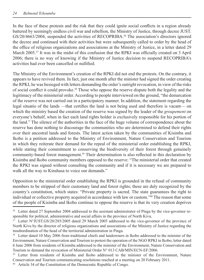In the face of these protests and the risk that they could ignite social conflicts in a region already battered by seemingly endless civil war and rebellion, the Ministry of Justice, through decree JUST. GS/20/4663/2004, suspended the activities of RECOPRIBA.<sup>36</sup> The association's directors ignored the decree and continued with their activities but were subsequently called to order by the head of the office of religious organizations and associations at the Ministry of Justice, in a letter dated 29 March 2005.<sup>37</sup> It was in the midst of this confusion that the RPKI was officially created on 3 April 2006; there is no way of knowing if the Ministry of Justice decision to suspend RECOPRIBA's activities had ever been cancelled or nullified.

The Ministry of the Environment's creation of the RPKI did not end the protests. On the contrary, it appears to have revived them. In fact, just one month after the minister had signed the order creating the RPKI, he was besieged with letters demanding the order's outright revocation, in view of the risks of social conflict it could provoke.<sup>38</sup> Those who oppose the reserve dispute both the legality and the legitimacy of the ministerial order. According to people interviewed on the ground, "the demarcation of the reserve was not carried out in a participatory manner. In addition, the statement regarding the legal situatio of the lands —that certifies the land is not being used and therefore is vacant— on which the ministry based the creation of the reserve was signed by the leader of the *groupement* on everyone's behalf, when in fact each land rights holder is exclusively responsible for his portion of the land." The silence of the authorities in the face of the huge volume of correspondence about the reserve has done nothing to discourage the communities who are determined to defend their rights over their ancestral lands and forests. The latest action taken by the communities of Kisimba and Ikobo is a petition addressed to the Ministry of Environment, Nature Conservation and Tourism in which they reiterate their demand for the repeal of the ministerial order establishing the RPKI, while stating their commitment to conserving the biodiversity of their forest through genuinely community-based forest management.<sup>39</sup> Their determination is also reflected in this declaration by Kisimba and Ikobo community members opposed to the reserve: "The ministerial order that created the RPKI was signed without consulting the community and if it is necessary we are prepared to walk all the way to Kinshasa to voice our demands."

Opposition to the ministerial order establishing the RPKI is grounded in the refusal of community members to be stripped of their customary land and forest rights; these are duly recognized by the country's constitution, which states: "Private property is sacred. The state guarantees the right to individual or collective property acquired in accordance with law or custom."40 The reason that some of the people of Kisimba and Ikobo continue to oppose the reserve is that its very creation deprives

<sup>&</sup>lt;sup>36</sup> Letter dated 27 September 2004 addressed to the assistant administrator of Pinga by the vice-governor responsible for political, administrative and social affairs in the province of North Kivu.

<sup>&</sup>lt;sup>37</sup> Letter N°JUST.GS/20/285/2005 dated 29 March 2005 addressed to the vice-governor of the province of North Kivu by the director of religious organizations and associations of the Ministry of Justice regarding the insubordination of the head of the territorial administration in Pinga.

<sup>&</sup>lt;sup>38</sup> Letter dated 10 May 2006 from traditional chiefs and landowners in Ikobo addressed to the minister of the Environment, Nature Conservation and Tourism to protest the operation of the NGO RPKI in Ikobo; letter dated 6 June 2006 from residents of Kisimba addressed to the minister of the Environment, Nature Conservation and Tourism to demand the revocation of Ministerial Order N° 013 CAB/MIN/ECN-EF/2006.

Letter from residents of Kisimba and Ikobo addressed to the minister of the Environment, Nature Conservation and Tourism communicating resolutions reached at a meeting on 20 February 2011.

Article 34 of the Constitution of the Democratic Republic of Congo.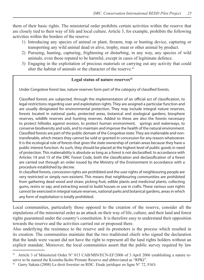them of their basic rights. The ministerial order prohibits certain activities within the reserve that are closely tied to their way of life and local culture. Article 3, for example, prohibits the following activities within the borders of the reserve:

- 1) Introducing any species of animal or plant, firearm, trap or hunting device, capturing or transporting any wild animal dead or alive, trophy, meat or other animal by product.
- 2) Pursuing, hunting, capturing, frightening or disturbing, in any way, any species of wild animals, even those reputed to be harmful, except in cases of legitimate defence.
- 3) Engaging in the exploitation of precious materials or carrying out any activity that could alter the habitat of animals or the character of the reserve.<sup>41</sup>

#### Legal status of nature reserves<sup>42</sup>

Under Congolese forest law, nature reserves form part of the category of classified forests.

Classified forests are subjected, through the implementation of an official act of classification, to legal restrictions regarding user and exploitation rights. They are assigned a particular function and are usually designated for environmental protection. They may include integral nature reserves, forests located in national parks, protected areas, botanical and zoological gardens, biosphere reserves, wildlife reserves and hunting reserves. Added to these are also the forests necessary to protect hillsides against erosion, to protect human environment, springs and waterways, to conserve biodiversity and soils, and to maintain and improve the health of the natural environment. Classified forests are part of the public domain of the Congolese state. They are inalienable and nontransferable, which means they cannot be sold or granted in concession for any reason whatsoever. It is the ecological role of forests that gives the state ownership of certain areas because they have a public interest function. As such, they should be placed at the highest level of public goods in need of protection. This inalienability is absolute as long as a forest is not declassified. In accordance with Articles 19 and 15 of the DRC Forest Code, both the classification and declassification of a forest are carried out through an order issued by the Ministry of the Environment in accordance with a procedure established by decree.

In classified forests, concession rights are prohibited and the user rights of neighbouring people are very restricted or simply non-existent. This means that neighbouring communities are prohibited from gathering dead wood and straw; picking fruit, edible plants and medicinal plants; collecting gums, resins or sap; and extracting wood to build houses or use in crafts. These various user rights cannot be exercised in integral nature reserves, national parks and botanical gardens, areas in which any form of exploitation is totally prohibited.

Local communities, particularly those opposed to the creation of the reserve, consider all the stipulations of the ministerial order as an attack on their way of life, culture, and their land and forest rights guaranteed under the country's constitution. It is therefore easy to understand their opposition towards the reserve and the activities carried out or proposed there.

Also underlying the resistance to the reserve and its promoters is the process which resulted in its creation. The communities maintain that the two traditional chiefs who signed the declaration that the lands were vacant did not have the right to represent all the land rights holders without an explicit mandate. Moreover, the local communities assert that the public survey required by law

Article 3 of Ministerial Order N° 013 CAB/MIN/ECN-EF/2006 of 3 April 2006 establishing a nature reserve to be named the Kisimba-Ikobo Primate Reserve and abbreviated as "RPKI".

<sup>42</sup> Garry Sakata (2008) Le droit forestier en RDC. Etude juridique en ligne N° 72, FAO.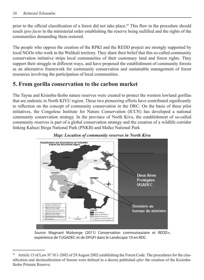prior to the official classification of a forest did not take place.<sup>43</sup> This flaw in the procedure should result *ipso facto* in the ministerial order establishing the reserve being nullified and the rights of the communities demanding them restored.

The people who oppose the creation of the RPKI and the REDD project are strongly supported by local NGOs who work in the Walikali territory. They share their belief that this so-called community conservation initiative strips local communities of their customary land and forest rights. They support their struggle in different ways, and have proposed the establishment of community forests as an alternative framework for community conservation and sustainable management of forest resources involving the participation of local communities.

### **5. From g orilla conservation to the carbon market**

The Tayna and Kisimba-Ikobo nature reserves were created to protect the western lowland gorillas that are endemic in North KIVU region. These two pioneering efforts have contributed significantly to reflection on the concept of community conservation in the DRC. On the basis of these pilot initiatives, the Congolese Institute for Nature Conservation (ICCN) has developed a national community conservation strategy. In the province of North Kivu, the establishment of so-called community reserves is part of a global conservation strategy and the creation of a wildlife corridor linking Kahuzi Biega National Park (PNKB) and Maïko National Park



*Map: Location of community reserves in North Kivu* 

Source: Magnant Mubonge (2011) Conservation communautaire et REDD+, expérience de l'UGADEC et de DFGFI dans le Landscape 10 en RDC.

<sup>43</sup> Article 15 of Law N° 011-2002 of 29 August 2002 establishing the Forest Code. The procedures for the classification and declassification of forests were defined in a decree published *after* the creation of the Kisimba-Ikobo Primate Reserve.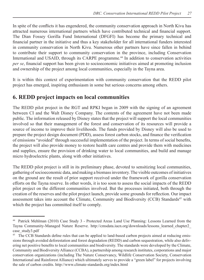In spite of the conflicts it has engendered, the community conservation approach in North Kivu has attracted numerous international partners which have contributed technical and financial support. The Dian Fossey Gorilla Fund International (DFGFI) has become the primary technical and financial partner in the initiative and thus a key stakeholder for all international funders interested in community conservation in North Kivu. Numerous other partners have since fallen in behind to contribute their support to community conservation in the province, including Conservation International and USAID, through its CARPE programme.<sup>44</sup> In addition to conservation activities *per se*, financial support has been given to socioeconomic initiatives aimed at promoting inclusion and ownership of the project among local communities, especially in the Tayna area.

It is within this context of experimentation with community conservation that the REDD pilot project has emerged, inspiring enthusiasm in some but serious concerns among others.

# **6. REDD pro ject impacts on local communities**

The REDD pilot project in the RGT and RPKI began in 2009 with the signing of an agreement between CI and the Walt Disney Company. The contents of the agreement have not been made public. The information released by Disney states that the project will support the local communities involved so that their management of the forest and conservation of its resources will provide a source of income to improve their livelihoods. The funds provided by Disney will also be used to prepare the project design document (PDD), assess forest carbon stocks, and finance the verification of emissions "avoided" through successful implementation of the project. In terms of social benefits, the project will also provide money to restore health care centres and provide them with medicines and supplies, ensure the provision of drinking water to local communities, and build and manage micro hydroelectric plants, along with other initiatives.

The REDD pilot project is still in its preliminary phase, devoted to sensitizing local communities, gathering of socioeconomic data, and making a biomass inventory. The visible outcomes of initiatives on the ground are the result of prior support received under the framework of gorilla conservation efforts on the Tayna reserve. In other words, it is too soon to assess the social impacts of the REDD pilot project on the different communities involved. But the processes initiated, both through the creation of the reserves and the pilot project launch, provide some grounds for reflection. Our impact assessment takes into account the Climate, Community and Biodiversity (CCB) Standards<sup>45</sup> with which the project has committed itself to comply.

<sup>44</sup> Patrick Mehlman (2010) Case Study 3 - Protected Areas Land Use Planning: Lessons Learned from the Tayna Community-Managed Nature Reserve. http://cmsdata.iucn.org/downloads/lessons\_learned\_chapter2\_ case\_study3.pdf

<sup>&</sup>lt;sup>45</sup> The CCB Standards define rules that can be applied to land-based carbon projects aimed at reducing emissions through avoided deforestation and forest degradation (REDD) and carbon sequestration, while also delivering net positive benefits to local communities and biodiversity. The standards were developed by the Climate, Community and Biodiversity Alliance (CCBA), a partnership among research institutes, corporations and major conservation organizations (including The Nature Conservancy, Wildlife Conservation Society, Conservation International and Rainforest Alliance) which ultimately serves to provide a "green label" for projects involving the sale of carbon credits. http://www.climate-standards.org/index.html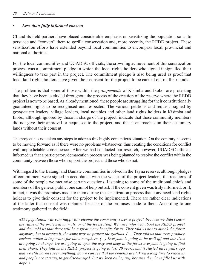#### *• Less than fully informed consent*

CI and its field partners have placed considerable emphasis on sensitizing the population so as to persuade and "convert" them to gorilla conservation and, more recently, the REDD project. These sensitization efforts have extended beyond local communities to encompass local, provincial and national authorities.

For the local communities and UGADEC officials, the crowning achievement of this sensitization process was a commitment pledge in which the local rights holders who signed it signalled their willingness to take part in the project. The commitment pledge is also being used as proof that local land rights holders have given their consent for the project to be carried out on their lands.

The problem is that some of those within the *groupements* of Kisimba and Ikobo, are protesting that they have been excluded throughout the process of the creation of the reserve where the REDD project is now to be based. As already mentioned, there people are struggling for their constitutionally guaranteed rights to be recognised and respected. The various petitions and requests signed by *groupement* leaders, village leaders, local notables and other land rights holders in Kisimba and Ikobo, although ignored by those in charge of the project, indicate that these community members did not give their approval or acquiesce to the project, and that it encroaches on their customary lands without their consent.

The project has not taken any steps to address this highly contentious situation. On the contrary, it seems to be moving forward as if there were no problems whatsoever, thus creating the conditions for conflict with unpredictable consequences. After we had conducted our research, however, UGADEC officials informed us that a participatory demarcation process was being planned to resolve the conflict within the community between those who support the project and those who do not.

With regard to the Batangi and Bamate communities involved in the Tayna reserve, although pledges of commitment were signed in accordance with the wishes of the project leaders, the reactions of some of the people we met raise certain questions. Listening to some of the traditional chiefs and members of the general public, one cannot help but ask if the consent given was truly informed, or if, in fact, it was the promises made to them during the sensitization process that convinced land rights holders to give their consent for the project to be implemented. There are rather clear indications of the latter that consent was obtained because of the promises made to them. According to one testimony gathered in the field:

*«The population was very happy to welcome the community reserve project, because we didn't know the value of the protected animals, or of the forest itself. We were informed about the REDD project* and they told us that there will be a great many benefits for us. They told us not to attack the forest anymore, but to protect it, the same way we protect the gorillas. (...) They told us that trees produce *carbon, which is important for the atmosphere. (...) Everyone is going to be well off and our lives* are going to change. We are going to open the way and deep in the forest everyone is going to find *their share. They told us the REDD project is going to last 20 years, and it started three years ago* and we still haven't seen anything. So we can see that the benefits are taking a long time to reach us and people are starting to get discouraged. But we keep on hoping, because they have filled us with hope.»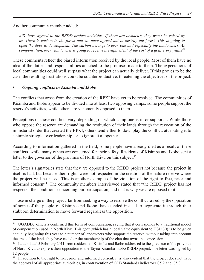Another community member added:

*—Yg" jcxg" citggf" vq" vjg" TGFF" rtqlgev" cevkxkvkgu0" Kh" vjgtg" ctg" qduvcengu." vjg{" yqp'v" dg" tckugf" d{" us. There is carbon in the forest and we have agreed not to destroy the forest. This is going to qpen the door to development. The carbon belongs to everyone and especially the landowners. As* compensation, every landowner is going to receive the equivalent of the cost of a goat every year,  $y^{46}$ 

These comments reflect the biased information received by the local people. Most of them have no idea of the duties and responsibilities attached to the promises made to them. The expectations of local communities could well surpass what the project can actually deliver. If this proves to be the case, the resulting frustrations could be counterproductive, threatening the objectives of the project.

#### *• Ongoing co nfl icts in Kisimba and Ikobo*

The conflicts that arose from the creation of the RPKI have yet to be resolved. The communities of Kisimba and Ikobo appear to be divided into at least two opposing camps: some people support the reserve's activities, while others are vehemently opposed to them.

Perceptions of these conflicts vary, depending on which camp one is in or supports. While those who oppose the reserve are demanding the restitution of their lands through the revocation of the ministerial order that created the RPKI, others tend either to downplay the conflict, attributing it to a simple struggle over leadership, or to ignore it altogether.

According to information gathered in the field, some people have already died as a result of these conflicts, while many others are concerned for their safety. Residents of Kisimba and Ikobo sent a letter to the governor of the province of North Kivu on this subject.<sup>47</sup>

The letter's signatories state that they are opposed to the REDD project not because the project in itself is bad, but because their rights were not respected in the creation of the nature reserve where the project will be based. This is another example of the violation of the right to free, prior and informed consent.48 The community members interviewed stated that "the REDD project has not respected the conditions concerning our participation, and that is why we are opposed to it."

Those in charge of the project, far from seeking a way to resolve the conflict raised by the opposition of some of the people of Kisimba and Ikobo, have tended instead to aggravate it through their stubborn determination to move forward regardless the opposition.

<sup>&</sup>lt;sup>46</sup> UGADEC officials confirmed this form of compensation, saying that it corresponds to a traditional model of compensation used in North Kivu. This goat (which has a local value equivalent to USD 30) is to be given annually beginning this year to a number of landowners who support the reserve, without taking into account the area of the lands they have ceded or the membership of the clan that owns the concession.

<sup>&</sup>lt;sup>47</sup> Letter dated 5 February 2011 from residents of Kisimba and Ikobo addressed to the governor of the province of North Kivu to express their opposition to the Tayna-Kisimba-Ikobo REDD project. The letter was signed by 12 people.

<sup>&</sup>lt;sup>48</sup> In addition to the right to free, prior and informed consent, it is also evident that the project does not have the approval of all appropriate authorities, in contravention of CCB Standards indicators G5.2 and G5.3.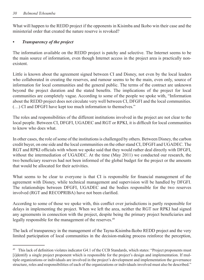What will happen to the REDD project if the opponents in Kisimba and Ikobo win their case and the ministerial order that created the nature reserve is revoked?

#### *• Transparen cy of the project*

The information available on the REDD project is patchy and selective. The Internet seems to be the main source of information, even though Internet access in the project area is practically nonexistent.

Little is known about the agreement signed between CI and Disney, not even by the local leaders who collaborated in creating the reserves, and rumour seems to be the main, even only, source of information for local communities and the general public. The terms of the contract are unknown beyond the project duration and the stated benefits. The implications of the project for local communities are completely vague. According to some of the people we spoke with, "Information about the REDD project does not circulate very well between CI, DFGFI and the local communities. (…) CI and DFGFI have kept too much information to themselves."

The roles and responsibilities of the different institutions involved in the project are not clear to the local people. Between CI, DFGFI, UGADEC and RGT or RPKI, it is difficult for local communities to know who does what.

In other cases, the role of some of the institutions is challenged by others. Between Disney, the carbon credit buyer, on one side and the local communities on the other stand CI, DFGFI and UGADEC. The RGT and RPKI officials with whom we spoke said that they would rather deal directly with DFGFI, without the intermediation of UGADEC. At the time (May 2011) we conducted our research, the two beneficiary reserves had not been informed of the global budget for the project or the amounts that would be allocated for their activities.

What seems to be clear to everyone is that CI is responsible for financial management of the agreement with Disney, while technical management and supervision will be handled by DFGFI. The relationships between DFGFI, UGADEC and the bodies responsible for the two reserves involved (RGT and RECOPRIBA) have not been clarified.

According to some of those we spoke with, this conflict over jurisdictions is partly responsible for delays in implementing the project. When we left the area, neither the RGT nor RPKI had signed any agreements in connection with the project, despite being the primary project beneficiaries and legally responsible for the management of the reserves.<sup>49</sup>

The lack of transparency in the management of the Tayna-Kisimba-Ikobo REDD project and the very limited participation of local communities in the decision-making process reinforce the perception,

<sup>&</sup>lt;sup>49</sup> This lack of definition violates indicator G4.1 of the CCB Standards, which states: "Project proponents must [i]dentify a single project proponent which is responsible for the project's design and implementation. If multiple organizations or individuals are involved in the project's development and implementation the governance structure, roles and responsibilities of each of the organizations or individuals involved must also be described."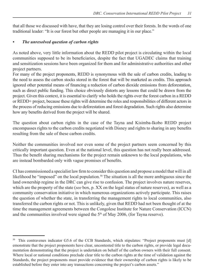that all those we discussed with have, that they are losing control over their forests. In the words of one traditional leader: "It is our forest but other people are managing it in our place."

#### *• The unreso lved question of carbon rights*

As noted above, very little information about the REDD pilot project is circulating within the local communities supposed to be its beneficiaries, despite the fact that UGADEC claims that training and sensitization sessions have been organized for them and for administrative authorities and other project partners.

For many of the project proponents, REDD is synonymous with the sale of carbon credits, leading to the need to assess the carbon stocks stored in the forest that will be marketed as credits. This approach ignored other potential means of financing a reduction of carbon dioxide emissions from deforestation, such as direct public funding. This choice obviously distorts any lessons that could be drawn from the project. Given this context, it is essential to clarify who holds the rights over the forest carbon in a REDD or REDD+ project, because these rights will determine the roles and responsibilities of different actors in the process of reducing emissions due to deforestation and forest degradation. Such rights also determine how any benefits derived from the project will be shared.

The question about carbon rights in the case of the Tayna and Kisimba-Ikobo REDD project encompasses rights to the carbon credits negotiated with Disney and rights to sharing in any benefits resulting from the sale of these carbon credits.

Neither the communities involved nor even some of the project partners seem concerned by this critically important question. Even at the national level, this question has not really been addressed. Thus the benefit sharing mechanisms for the project remain unknown to the local populations, who are instead bombarded only with vague promises of benefits.

CI has commissioned a specialist law firm to consider this question and propose a model that will in all likelihood be "imposed" on the local population.<sup>50</sup> The situation is all the more ambiguous since the land ownership regime in the DRC can give rise to confusion. The project involves nature reserves, which are the property of the state (*see* box, p. XX on the legal status of nature reserves), as well as a community conservation initiative in which numerous organizations actively participate. This raises the question of whether the state, in transferring the management rights to local communities, also transferred the carbon rights or not. This is unlikely, given that REDD had not been thought of at the time the management agreements between the Congolese Institute for Nature Conservation (ICCN) and the communities involved were signed the  $5<sup>th</sup>$  of May 2006, (for Tayna reserve).

This contravenes indicator G5.6 of the CCB Standards, which stipulates: "Project proponents must [d] emonstrate that the project proponents have clear, uncontested title to the carbon rights, or provide legal documentation demonstrating that the project is undertaken on behalf of the carbon owners with their full consent. Where local or national conditions preclude clear title to the carbon rights at the time of validation against the Standards, the project proponents must provide evidence that their ownership of carbon rights is likely to be established before they enter into any transactions concerning the project's carbon assets."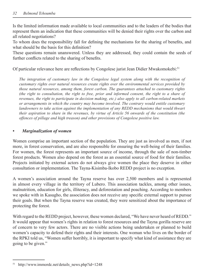Is the limited information made available to local communities and to the leaders of the bodies that represent them an indication that these communities will be denied their rights over the carbon and all related negotiations?

To whom does the responsibility fall for defining the mechanisms for the sharing of benefits, and what should be the basis for this definition?

These questions remain unanswered. Unless they are addressed, they could contain the seeds of further conflicts related to the sharing of benefits.

Of particular relevance here are reflections by Congolese jurist Jean Didier Mwakomokebi:<sup>51</sup>

*The integration of customary law in the Congolese legal system along with the recognition of* customary rights over natural resources create rights over the environmental services provided by *those natural resources, among them, forest carbon. The guarantees attached to customary rights (the right to consultation, the right to free, prior and informed consent, the right to a share of tevenues, the right to participate in decision making, etc.) also apply to all carbon-related markets*  $or$  arrangements in which the country may become involved. The contrary would entitle customary *landowners to take action against the implementation of any REDD mechanisms that would thwart their aspiration to share in the revenues, by virtue of Article 56 onwards of the constitution (the offences of pillage and high treason) and other provisions of Congolese positive law.* 

#### *• Marginaliz ation of women*

Women comprise an important section of the population. They are just as involved as men, if not more, in forest conservation, and are also responsible for ensuring the well-being of their families. For women, the forest represents an important source of income, through the sale of non-timber forest products. Women also depend on the forest as an essential source of food for their families. Projects initiated by external actors do not always give women the place they deserve in either consultation or implementation. The Tayna-Kisimba-Ikobo REDD project is no exception.

A women's association around the Tayna reserve has over 2,500 members and is represented in almost every village in the territory of Lubero. This association tackles, among other issues, malnutrition, education for girls, illiteracy, and deforestation and poaching. According to members we spoke with in Kasugho, the association does not receive any specific external support to pursue their goals. But when the Tayna reserve was created, they were sensitized about the importance of protecting the forest.

With regard to the REDD project, however, these women declared, "We have never heard of REDD." It would appear that women's rights in relation to forest resources and the Tayna gorilla reserve are of concern to very few actors. There are no visible actions being undertaken or planned to build women's capacity to defend their rights and their interests. One woman who lives on the border of the RPKI told us, "Women suffer horribly, it is important to specify what kind of assistance they are going to be given."

 $51$  http://www.immordc.net/details news.php?id=1248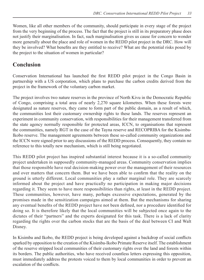Women, like all other members of the community, should participate in every stage of the project from the very beginning of the process. The fact that the project is still in its preparatory phase does not justify their marginalisation. In fact, such marginalisation gives us cause for concern to wonder more generally about the place and role of women in the REDD pilot project in the DRC. How will they be involved? What benefits are they entitled to receive? What are the potential risks posed by the project to the situation of women in particular?

# **Conclusion**

Conservation International has launched the first REDD pilot project in the Congo Basin in partnership with a US corporation, which plans to purchase the carbon credits derived from the project in the framework of the voluntary carbon market.

The project involves two nature reserves in the province of North Kivu in the Democratic Republic of Congo, comprising a total area of nearly 2,270 square kilometres. When these forests were designated as nature reserves, they came to form part of the public domain, as a result of which, the communities lost their customary ownership rights to these lands. The reserves represent an experiment in community conservation, with responsibilities for their management transferred from the state agency normally responsible for protected areas, ICCN, to organisations that represent the communities, namely RGT in the case of the Tayna reserve and RECOPRIBA for the Kisimba-Ikobo reserve. The management agreements between these so-called community organizations and the ICCN were signed prior to any discussions of the REDD process. Consequently, they contain no reference to this totally new mechanism, which is still being negotiated.

This REDD pilot project has inspired substantial interest because it is a so-called community project undertaken in supposedly community-managed areas. Community conservation implies that those responsible have real decision-making power over the management of their resources and over matters that concern them. But we have been able to confirm that the reality on the ground is utterly different. Local communities play a rather marginal role. They are scarcely informed about the project and have practically no participation in making major decisions regarding it. They seem to have more responsibilities than rights, at least in the REDD project. These communities, however, have many, perhaps excessive expectations, generated by the promises made in the sensitization campaigns aimed at them. But the mechanisms for sharing any eventual benefits of the REDD project have not been defined, nor a procedure identified for doing so. It is therefore likely that the local communities will be subjected once again to the dictates of their "partners" and the experts designated for this task. There is a lack of clarity regarding the rights over the carbon stocks that are the basis of the deal between CI and Walt Disney.

In Kisimba and Ikobo, the REDD project is being developed against a backdrop of social conflicts sparked by opposition to the creation of the Kisimba-Ikobo Primate Reserve itself. The establishment of the reserve stripped local communities of their customary rights over the land and forests within its borders. The public authorities, who have received countless letters expressing this opposition, must immediately address the protests voiced to them by local communities in order to prevent an escalation of the conflicts.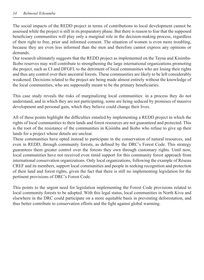The social impacts of the REDD project in terms of contributions to local development cannot be assessed while the project is still in its preparatory phase. But there is reason to fear that the supposed beneficiary communities will play only a marginal role in the decision-making process, regardless of their right to free, prior and informed consent. The situation of women is even more troubling, because they are even less informed than the men and therefore cannot express any opinions or demands.

Our research ultimately suggests that the REDD project as implemented on the Tayna and Kisimba-Ikobo reserves may well contribute to strengthening the large international organizations promoting the project, such as CI and DFGFI, to the detriment of local communities who are losing their rights and thus any control over their ancestral forests. These communities are likely to be left considerably weakened. Decisions related to the project are being made almost entirely without the knowledge of the local communities, who are supposedly meant to be the primary beneficiaries.

This case study reveals the risks of marginalizing local communities: in a process they do not understand, and in which they are not participating, some are being seduced by promises of massive development and personal gain, which they believe could change their lives.

All of these points highlight the difficulties entailed by implementing a REDD project in which the rights of local communities to their lands and forest resources are not guaranteed and protected. This is the root of the resistance of the communities in Kisimba and Ikobo who refuse to give up their lands for a project whose details are unclear.

These communities have opted instead to participate in the conservation of natural resources, and even in REDD, through community forests, as defined by the DRC's Forest Code. This strategy guarantees them greater control over the forests they own through customary rights. Until now, local communities have not received even timid support for this community forest approach from international conservation organizations. Only local organizations, following the example of Réseau CREF and its members, support local communities and people in seeking recognition and protection of their land and forest rights, given the fact that there is still no implementing legislation for the pertinent provisions of DRC's Forest Code.

This points to the urgent need for legislation implementing the Forest Code provisions related to local community forests to be adopted. With this legal status, local communities in North Kivu and elsewhere in the DRC could participate on a more equitable basis in preventing deforestation, and thus better contribute to conservation efforts and the fight against global warming.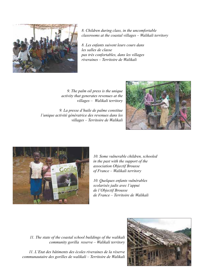

 $8.$  Children during class, in the uncomfortable *classrooms at the coastal villages - Walikali territory* 

 $8.$  Les enfants suivent leurs cours dans les salles de classe pas très confortables, dans les villages *tiveraines – Territoire de Walikali* 

*f*. The palm oil press is the unique *activity that generates revenues at the xillages* - Walikali territory

*9. La presse d'huile de palme constitue l'unique activité génératrice des revenues dans les xillages - Territoire de Walikali* 





10. Some vulnerable children, schooled *in the past with the support of the*  $a$ ssociation Objectif Brousse *df* France – Walikali territory

10. Quelques enfants vulnérables  $s$ colarisés jadis avec l'appui *fg"n'Qdlgevkh"Dtqwuug" de France – Territoire de Walikali* 

11. The state of the coastal school buildings of the walikali *community gorilla reserve - Walikali territory* 

*330 Il. L'Etat des bâtiments des écoles riveraines de la réserve communautaire des gorilles de walikali – Territoire de Walikali*